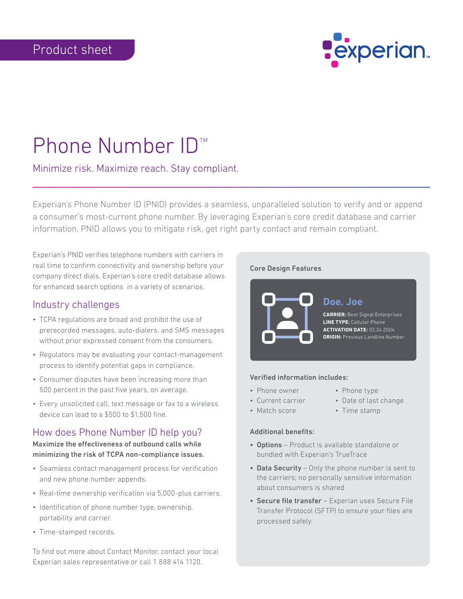

# Phone Number ID<sup>™</sup>

## Minimize risk. Maximize reach. Stay compliant.

Experian's Phone Number ID (PNID) provides a seamless, unparalleled solution to verify and or append a consumer's most-current phone number. By leveraging Experian's core credit database and carrier information, PNID allows you to mitigate risk, get right party contact and remain compliant.

Experian's PNID verifies telephone numbers with carriers in real time to confirm connectivity and ownership before your company direct dials. Experian's core credit database allows for enhanced search options in a variety of scenarios.

## Industry challenges

- TCPA regulations are broad and prohibit the use of prerecorded messages, auto-dialers, and SMS messages without prior expressed consent from the consumers.
- Regulators may be evaluating your contact-management process to identify potential gaps in compliance.
- Consumer disputes have been increasing more than 500 percent in the past five years, on average.
- Every unsolicited call, text message or fax to a wireless device can lead to a \$500 to \$1,500 fine.

# How does Phone Number ID help you?

Maximize the effectiveness of outbound calls while minimizing the risk of TCPA non-compliance issues.

- Seamless contact management process for verification and new phone number appends.
- Real-time ownership verification via 5,000-plus carriers.
- Identification of phone number type, ownership, portability and carrier.
- Time-stamped records.

To find out more about Contact Monitor, contact your local Experian sales representative or call 1 888 414 1120.

## Core Design Features



#### Verified information includes:

- Phone owner
- Phone type
- Current carrier
- 
- Match score
- Date of last change
- 
- Time stamp

## Additional benefits:

- Options Product is available standalone or bundled with Experian's TrueTrace
- Data Security Only the phone number is sent to the carriers; no personally sensitive information about consumers is shared
- Secure file transfer Experian uses Secure File Transfer Protocol (SFTP) to ensure your files are processed safely.